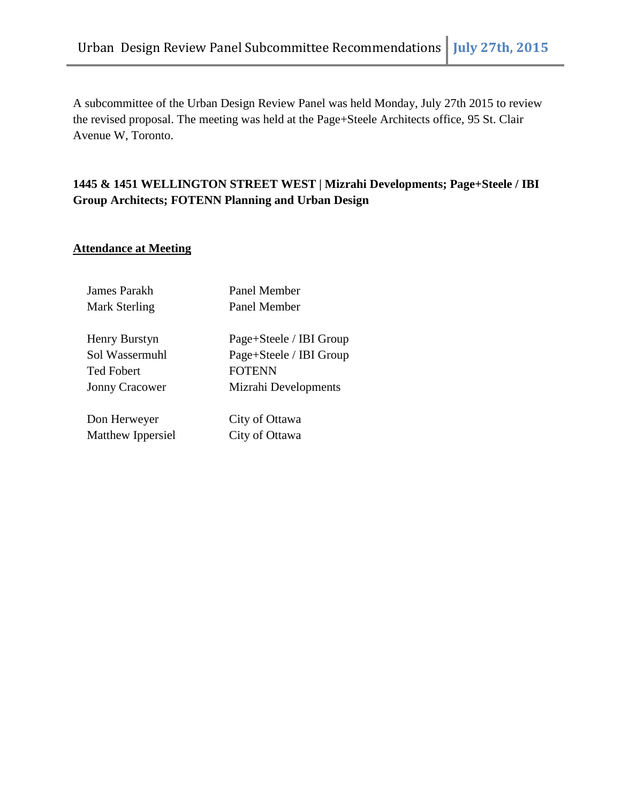A subcommittee of the Urban Design Review Panel was held Monday, July 27th 2015 to review the revised proposal. The meeting was held at the Page+Steele Architects office, 95 St. Clair Avenue W, Toronto.

# **1445 & 1451 WELLINGTON STREET WEST | Mizrahi Developments; Page+Steele / IBI Group Architects; FOTENN Planning and Urban Design**

## **Attendance at Meeting**

| James Parakh<br>Mark Sterling | Panel Member<br>Panel Member |
|-------------------------------|------------------------------|
|                               |                              |
| Henry Burstyn                 | Page+Steele / IBI Group      |
| Sol Wassermuhl                | Page+Steele / IBI Group      |
| <b>Ted Fobert</b>             | <b>FOTENN</b>                |
| <b>Jonny Cracower</b>         | Mizrahi Developments         |
|                               |                              |
| Don Herweyer                  | City of Ottawa               |
| Matthew Ippersiel             | City of Ottawa               |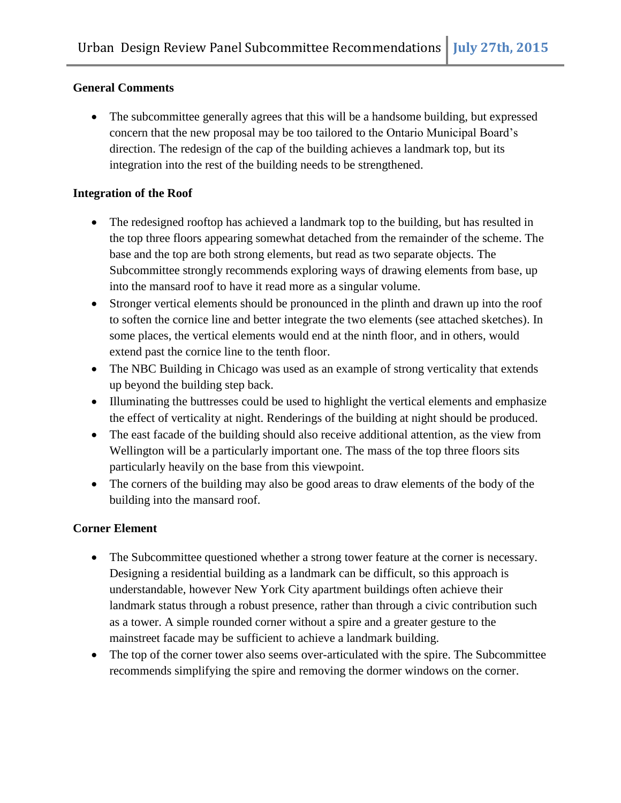## **General Comments**

• The subcommittee generally agrees that this will be a handsome building, but expressed concern that the new proposal may be too tailored to the Ontario Municipal Board's direction. The redesign of the cap of the building achieves a landmark top, but its integration into the rest of the building needs to be strengthened.

#### **Integration of the Roof**

- The redesigned rooftop has achieved a landmark top to the building, but has resulted in the top three floors appearing somewhat detached from the remainder of the scheme. The base and the top are both strong elements, but read as two separate objects. The Subcommittee strongly recommends exploring ways of drawing elements from base, up into the mansard roof to have it read more as a singular volume.
- Stronger vertical elements should be pronounced in the plinth and drawn up into the roof to soften the cornice line and better integrate the two elements (see attached sketches). In some places, the vertical elements would end at the ninth floor, and in others, would extend past the cornice line to the tenth floor.
- The NBC Building in Chicago was used as an example of strong verticality that extends up beyond the building step back.
- Illuminating the buttresses could be used to highlight the vertical elements and emphasize the effect of verticality at night. Renderings of the building at night should be produced.
- The east facade of the building should also receive additional attention, as the view from Wellington will be a particularly important one. The mass of the top three floors sits particularly heavily on the base from this viewpoint.
- The corners of the building may also be good areas to draw elements of the body of the building into the mansard roof.

## **Corner Element**

- The Subcommittee questioned whether a strong tower feature at the corner is necessary. Designing a residential building as a landmark can be difficult, so this approach is understandable, however New York City apartment buildings often achieve their landmark status through a robust presence, rather than through a civic contribution such as a tower. A simple rounded corner without a spire and a greater gesture to the mainstreet facade may be sufficient to achieve a landmark building.
- The top of the corner tower also seems over-articulated with the spire. The Subcommittee recommends simplifying the spire and removing the dormer windows on the corner.